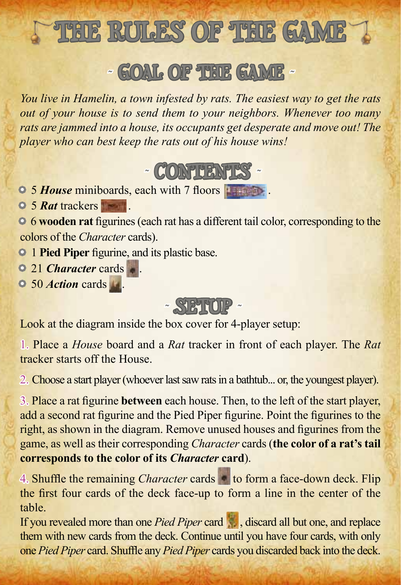

# *˜* goal of the game *˜*

*You live in Hamelin, a town infested by rats. The easiest way to get the rats out of your house is to send them to your neighbors. Whenever too many rats are jammed into a house, its occupants get desperate and move out! The player who can best keep the rats out of his house wins!*



**• 5** *House* miniboards, each with 7 floors **a** 

• 5 *Rat* trackers.

• 6 **wooden rat** figurines (each rat has a different tail color, corresponding to the colors of the *Character* cards).

- **1 Pied Piper** figurine, and its plastic base.
- 21 *Character* cards.
- 50 *Action* cards .

*˜* setup *˜*

Look at the diagram inside the box cover for 4-player setup:

1. Place a *House* board and a *Rat* tracker in front of each player. The *Rat* tracker starts off the House.

2. Choose a start player (whoever last saw rats in a bathtub... or, the youngest player).

3. Place a rat figurine **between** each house. Then, to the left of the start player, add a second rat figurine and the Pied Piper figurine. Point the figurines to the right, as shown in the diagram. Remove unused houses and figurines from the game, as well as their corresponding *Character* cards (**the color of a rat's tail corresponds to the color of its** *Character* **card**).

4. Shuffle the remaining *Character* cards to form a face-down deck. Flip the first four cards of the deck face-up to form a line in the center of the table.

If you revealed more than one *Pied Piper* card , discard all but one, and replace them with new cards from the deck. Continue until you have four cards, with only one *Pied Piper* card. Shuffle any *Pied Piper* cards you discarded back into the deck.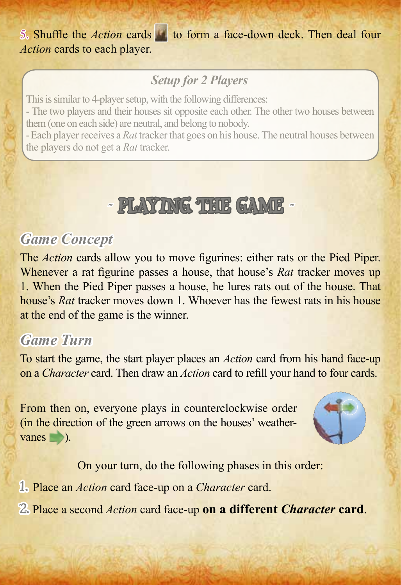5. Shuffle the *Action* cards to form a face-down deck. Then deal four *Action* cards to each player.

## *Setup for 2 Players*

This is similar to 4-player setup, with the following differences:

- The two players and their houses sit opposite each other. The other two houses between them (one on each side) are neutral, and belong to nobody.

- Each player receives a *Rat* tracker that goes on his house. The neutral houses between the players do not get a *Rat* tracker.

# *˜* playing the game *˜*

## *Game Concept*

The *Action* cards allow you to move figurines: either rats or the Pied Piper. Whenever a rat figurine passes a house, that house's *Rat* tracker moves up 1. When the Pied Piper passes a house, he lures rats out of the house. That house's *Rat* tracker moves down 1. Whoever has the fewest rats in his house at the end of the game is the winner.

## *Game Turn*

To start the game, the start player places an *Action* card from his hand face-up on a *Character* card. Then draw an *Action* card to refill your hand to four cards.

From then on, everyone plays in counterclockwise order (in the direction of the green arrows on the houses' weathervanes **b**).



On your turn, do the following phases in this order:

1. Place an *Action* card face-up on a *Character* card.

2. Place a second *Action* card face-up **on a different** *Character* **card**.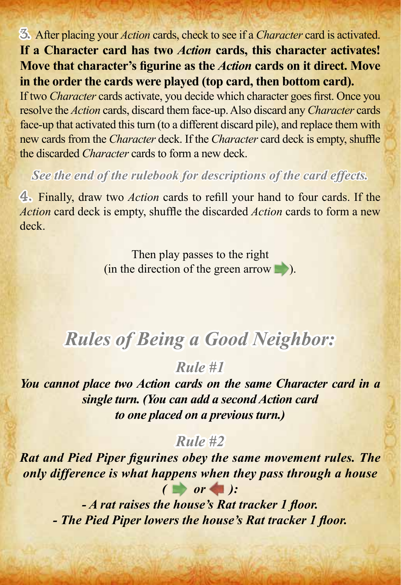3. After placing your *Action* cards, check to see if a *Character* card is activated. **If a Character card has two** *Action* **cards, this character activates! Move that character's figurine as the** *Action* **cards on it direct. Move in the order the cards were played (top card, then bottom card).**

If two *Character* cards activate, you decide which character goes first. Once you resolve the *Action* cards, discard them face-up. Also discard any *Character* cards face-up that activated this turn (to a different discard pile), and replace them with new cards from the *Character* deck. If the *Character* card deck is empty, shuffle the discarded *Character* cards to form a new deck.

#### *See the end of the rulebook for descriptions of the card effects.*

4. Finally, draw two *Action* cards to refill your hand to four cards. If the *Action* card deck is empty, shuffle the discarded *Action* cards to form a new deck.

> Then play passes to the right (in the direction of the green arrow  $\Box$ ).

## *Rules of Being a Good Neighbor:*

*Rule #1*

*You cannot place two Action cards on the same Character card in a single turn. (You can add a second Action card to one placed on a previous turn.)*

## *Rule #2*

*Rat and Pied Piper figurines obey the same movement rules. The only difference is what happens when they pass through a house*  $($   $\bullet$  or  $\bullet$  ):

*- A rat raises the house's Rat tracker 1 floor. - The Pied Piper lowers the house's Rat tracker 1 floor.*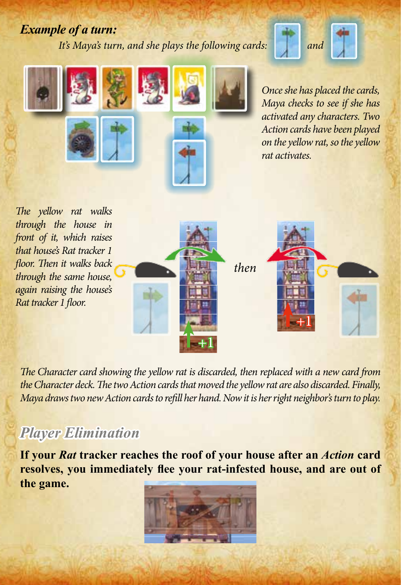#### *Example of a turn:*

*It's Maya's turn, and she plays the following cards:* 







*through the house in front of it, which raises that house's Rat tracker 1 floor. Then it walks back through the same house, again raising the house's Rat tracker 1 floor.*



*The Character card showing the yellow rat is discarded, then replaced with a new card from the Character deck. The two Action cards that moved the yellow rat are also discarded. Finally, Maya draws two new Action cards to refill her hand. Now it is her right neighbor's turn to play.*

## *Player Elimination*

**If your** *Rat* **tracker reaches the roof of your house after an** *Action* **card resolves, you immediately flee your rat-infested house, and are out of the game.**

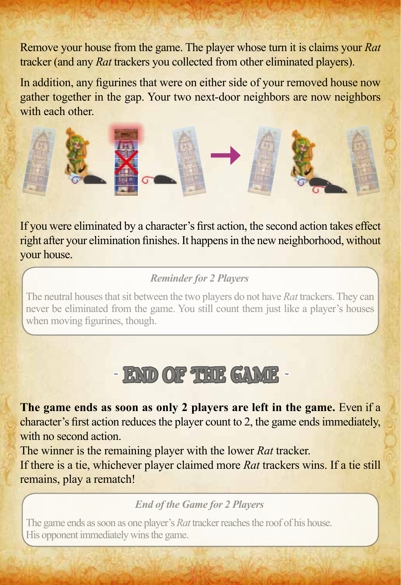Remove your house from the game. The player whose turn it is claims your *Rat* tracker (and any *Rat* trackers you collected from other eliminated players).

In addition, any figurines that were on either side of your removed house now gather together in the gap. Your two next-door neighbors are now neighbors with each other.



If you were eliminated by a character's first action, the second action takes effect right after your elimination finishes. It happens in the new neighborhood, without your house.

#### *Reminder for 2 Players*

The neutral houses that sit between the two players do not have *Rat* trackers. They can never be eliminated from the game. You still count them just like a player's houses when moving figurines, though.

# *˜* end of the game *˜*

**The game ends as soon as only 2 players are left in the game.** Even if a character's first action reduces the player count to 2, the game ends immediately, with no second action.

The winner is the remaining player with the lower *Rat* tracker.

If there is a tie, whichever player claimed more *Rat* trackers wins. If a tie still remains, play a rematch!

*End of the Game for 2 Players*

The game ends as soon as one player's *Rat* tracker reaches the roof of his house. His opponent immediately wins the game.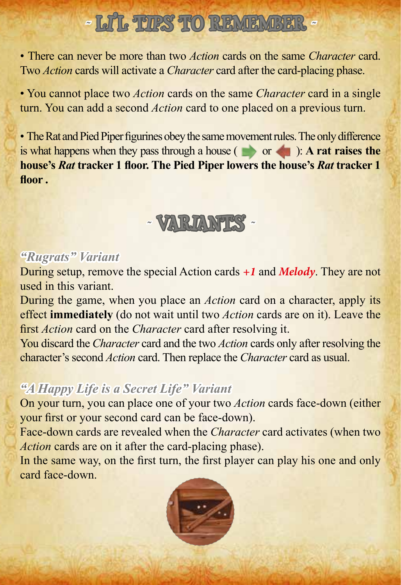# **~ Lift. THES TO REMEMBER ~**

• There can never be more than two *Action* cards on the same *Character* card. Two *Action* cards will activate a *Character* card after the card-placing phase.

• You cannot place two *Action* cards on the same *Character* card in a single turn. You can add a second *Action* card to one placed on a previous turn.

• The Rat and Pied Piper figurines obey the same movement rules. The only difference is what happens when they pass through a house  $($   $\bullet$  or  $\bullet$  ): **A rat raises the house's** *Rat* **tracker 1 floor. The Pied Piper lowers the house's** *Rat* **tracker 1 floor .**

# *˜* variants *˜*

## *"Rugrats" Variant*

During setup, remove the special Action cards *+1* and *Melody*. They are not used in this variant.

During the game, when you place an *Action* card on a character, apply its effect **immediately** (do not wait until two *Action* cards are on it). Leave the first *Action* card on the *Character* card after resolving it.

You discard the *Character* card and the two *Action* cards only after resolving the character's second *Action* card. Then replace the *Character* card as usual.

## *"A Happy Life is a Secret Life" Variant*

On your turn, you can place one of your two *Action* cards face-down (either your first or your second card can be face-down).

Face-down cards are revealed when the *Character* card activates (when two *Action* cards are on it after the card-placing phase).

In the same way, on the first turn, the first player can play his one and only card face-down.

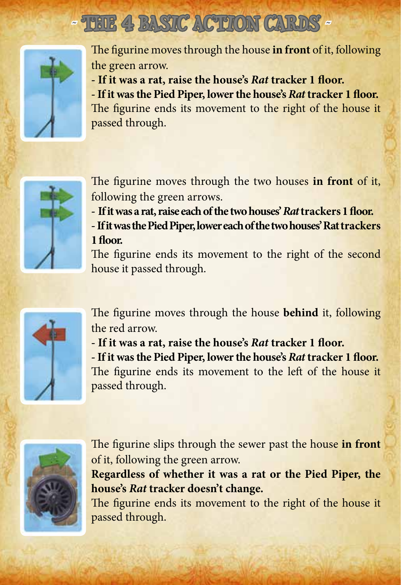# *˜* The 4 Basic Action Cards *˜*



The figurine moves through the house **in front** of it, following the green arrow.

**- If it was a rat, raise the house's** *Rat* **tracker 1 floor. - If it was the Pied Piper, lower the house's** *Rat* **tracker 1 floor.** The figurine ends its movement to the right of the house it passed through.



The figurine moves through the two houses **in front** of it, following the green arrows.

**- If it was a rat, raise each of the two houses'** *Rat* **trackers 1 floor.**

**- If it was the Pied Piper, lower each of the two houses' Rat trackers 1 floor.**

The figurine ends its movement to the right of the second house it passed through.



The figurine moves through the house **behind** it, following the red arrow.

**- If it was a rat, raise the house's** *Rat* **tracker 1 floor.**

**- If it was the Pied Piper, lower the house's** *Rat* **tracker 1 floor.** The figurine ends its movement to the left of the house it passed through.



The figurine slips through the sewer past the house **in front** of it, following the green arrow.

**Regardless of whether it was a rat or the Pied Piper, the house's** *Rat* **tracker doesn't change.**

The figurine ends its movement to the right of the house it passed through.